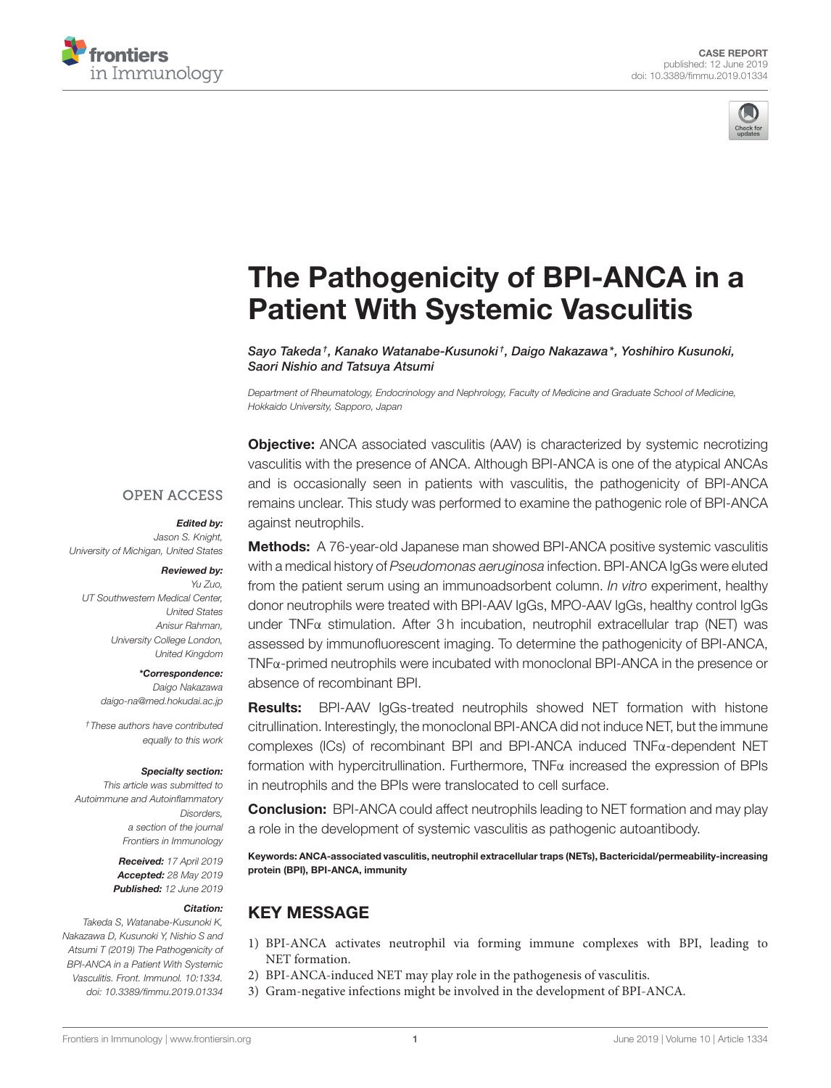



# [The Pathogenicity of BPI-ANCA in a](https://www.frontiersin.org/articles/10.3389/fimmu.2019.01334/full) Patient With Systemic Vasculitis

[Sayo Takeda](http://loop.frontiersin.org/people/723170/overview)†, Kanako Watanabe-Kusunoki†, [Daigo Nakazawa\\*](http://loop.frontiersin.org/people/68213/overview), Yoshihiro Kusunoki, [Saori Nishio](http://loop.frontiersin.org/people/349555/overview) and Tatsuya Atsumi

*Department of Rheumatology, Endocrinology and Nephrology, Faculty of Medicine and Graduate School of Medicine, Hokkaido University, Sapporo, Japan*

**Objective:** ANCA associated vasculitis (AAV) is characterized by systemic necrotizing vasculitis with the presence of ANCA. Although BPI-ANCA is one of the atypical ANCAs and is occasionally seen in patients with vasculitis, the pathogenicity of BPI-ANCA remains unclear. This study was performed to examine the pathogenic role of BPI-ANCA against neutrophils.

#### **OPEN ACCESS**

#### Edited by:

*Jason S. Knight, University of Michigan, United States*

#### Reviewed by:

*Yu Zuo, UT Southwestern Medical Center, United States Anisur Rahman, University College London, United Kingdom*

#### \*Correspondence:

*Daigo Nakazawa [daigo-na@med.hokudai.ac.jp](mailto:daigo-na@med.hokudai.ac.jp)*

*†These authors have contributed equally to this work*

#### Specialty section:

*This article was submitted to Autoimmune and Autoinflammatory Disorders, a section of the journal Frontiers in Immunology*

> Received: *17 April 2019* Accepted: *28 May 2019* Published: *12 June 2019*

#### Citation:

*Takeda S, Watanabe-Kusunoki K, Nakazawa D, Kusunoki Y, Nishio S and Atsumi T (2019) The Pathogenicity of BPI-ANCA in a Patient With Systemic Vasculitis. Front. Immunol. 10:1334. doi: [10.3389/fimmu.2019.01334](https://doi.org/10.3389/fimmu.2019.01334)*

**Methods:** A 76-year-old Japanese man showed BPI-ANCA positive systemic vasculitis with a medical history of *Pseudomonas aeruginosa* infection. BPI-ANCA IgGs were eluted from the patient serum using an immunoadsorbent column. *In vitro* experiment, healthy donor neutrophils were treated with BPI-AAV IgGs, MPO-AAV IgGs, healthy control IgGs under TNFα stimulation. After 3h incubation, neutrophil extracellular trap (NET) was assessed by immunofluorescent imaging. To determine the pathogenicity of BPI-ANCA, TNFα-primed neutrophils were incubated with monoclonal BPI-ANCA in the presence or absence of recombinant BPI.

Results: BPI-AAV IgGs-treated neutrophils showed NET formation with histone citrullination. Interestingly, the monoclonal BPI-ANCA did not induce NET, but the immune complexes (ICs) of recombinant BPI and BPI-ANCA induced TNFα-dependent NET formation with hypercitrullination. Furthermore, TNFα increased the expression of BPIs in neutrophils and the BPIs were translocated to cell surface.

Conclusion: BPI-ANCA could affect neutrophils leading to NET formation and may play a role in the development of systemic vasculitis as pathogenic autoantibody.

Keywords: ANCA-associated vasculitis, neutrophil extracellular traps (NETs), Bactericidal/permeability-increasing protein (BPI), BPI-ANCA, immunity

## KEY MESSAGE

- 1) BPI-ANCA activates neutrophil via forming immune complexes with BPI, leading to NET formation.
- 2) BPI-ANCA-induced NET may play role in the pathogenesis of vasculitis.
- 3) Gram-negative infections might be involved in the development of BPI-ANCA.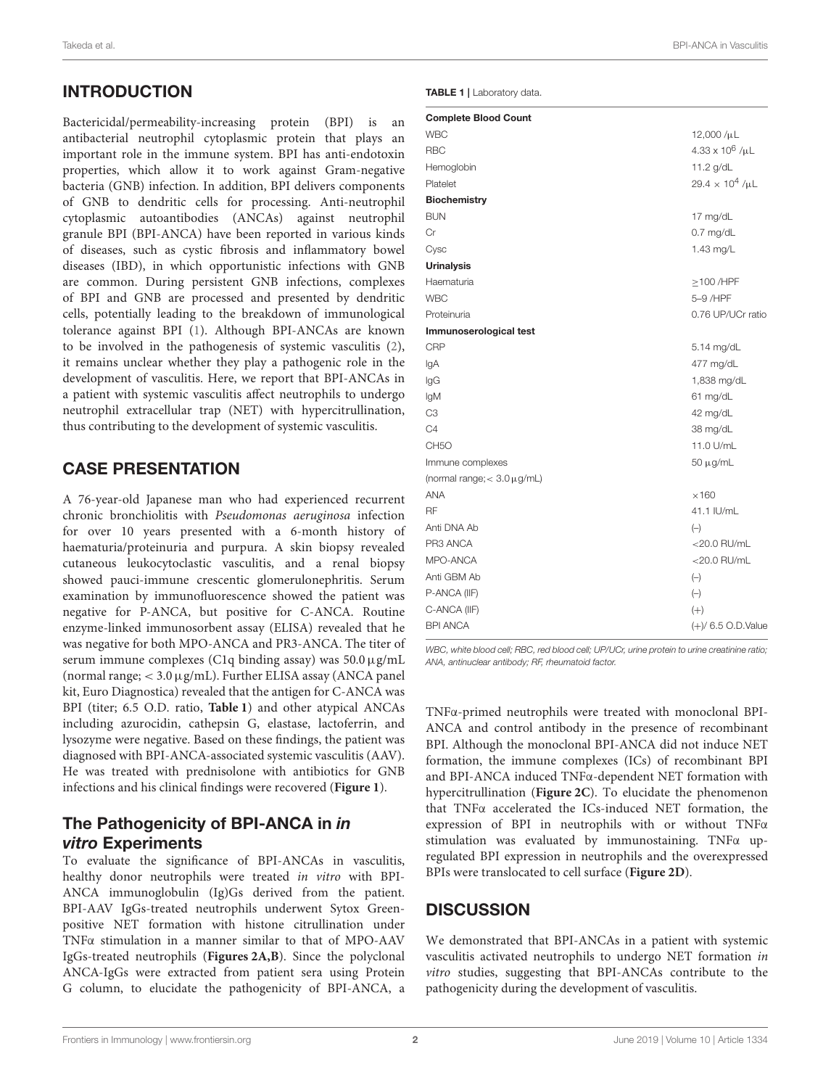# INTRODUCTION

Bactericidal/permeability-increasing protein (BPI) is an antibacterial neutrophil cytoplasmic protein that plays an important role in the immune system. BPI has anti-endotoxin properties, which allow it to work against Gram-negative bacteria (GNB) infection. In addition, BPI delivers components of GNB to dendritic cells for processing. Anti-neutrophil cytoplasmic autoantibodies (ANCAs) against neutrophil granule BPI (BPI-ANCA) have been reported in various kinds of diseases, such as cystic fibrosis and inflammatory bowel diseases (IBD), in which opportunistic infections with GNB are common. During persistent GNB infections, complexes of BPI and GNB are processed and presented by dendritic cells, potentially leading to the breakdown of immunological tolerance against BPI [\(1\)](#page-4-0). Although BPI-ANCAs are known to be involved in the pathogenesis of systemic vasculitis [\(2\)](#page-4-1), it remains unclear whether they play a pathogenic role in the development of vasculitis. Here, we report that BPI-ANCAs in a patient with systemic vasculitis affect neutrophils to undergo neutrophil extracellular trap (NET) with hypercitrullination, thus contributing to the development of systemic vasculitis.

### CASE PRESENTATION

A 76-year-old Japanese man who had experienced recurrent chronic bronchiolitis with Pseudomonas aeruginosa infection for over 10 years presented with a 6-month history of haematuria/proteinuria and purpura. A skin biopsy revealed cutaneous leukocytoclastic vasculitis, and a renal biopsy showed pauci-immune crescentic glomerulonephritis. Serum examination by immunofluorescence showed the patient was negative for P-ANCA, but positive for C-ANCA. Routine enzyme-linked immunosorbent assay (ELISA) revealed that he was negative for both MPO-ANCA and PR3-ANCA. The titer of serum immune complexes (C1q binding assay) was  $50.0 \,\mu$ g/mL (normal range; < 3.0µg/mL). Further ELISA assay (ANCA panel kit, Euro Diagnostica) revealed that the antigen for C-ANCA was BPI (titer; 6.5 O.D. ratio, **[Table 1](#page-1-0)**) and other atypical ANCAs including azurocidin, cathepsin G, elastase, lactoferrin, and lysozyme were negative. Based on these findings, the patient was diagnosed with BPI-ANCA-associated systemic vasculitis (AAV). He was treated with prednisolone with antibiotics for GNB infections and his clinical findings were recovered (**[Figure 1](#page-2-0)**).

#### The Pathogenicity of BPI-ANCA in in vitro Experiments

To evaluate the significance of BPI-ANCAs in vasculitis, healthy donor neutrophils were treated in vitro with BPI-ANCA immunoglobulin (Ig)Gs derived from the patient. BPI-AAV IgGs-treated neutrophils underwent Sytox Greenpositive NET formation with histone citrullination under TNFα stimulation in a manner similar to that of MPO-AAV IgGs-treated neutrophils (**[Figures 2A,B](#page-3-0)**). Since the polyclonal ANCA-IgGs were extracted from patient sera using Protein G column, to elucidate the pathogenicity of BPI-ANCA, a

<span id="page-1-0"></span>TABLE 1 | Laboratory data

| <b>Complete Blood Count</b>        |                        |
|------------------------------------|------------------------|
| <b>WBC</b>                         | 12,000 /µL             |
| <b>RBC</b>                         | $4.33 \times 10^6$ /µL |
| Hemoglobin                         | 11.2 g/dL              |
| Platelet                           | $29.4 \times 10^4$ /µL |
| <b>Biochemistry</b>                |                        |
| <b>BUN</b>                         | 17 mg/dL               |
| Сr                                 | $0.7$ mg/dL            |
| Cysc                               | 1.43 mg/L              |
| <b>Urinalysis</b>                  |                        |
| Haematuria                         | $\geq$ 100/HPF         |
| <b>WBC</b>                         | 5-9 /HPF               |
| Proteinuria                        | 0.76 UP/UCr ratio      |
| Immunoserological test             |                        |
| <b>CRP</b>                         | 5.14 mg/dL             |
| lgA                                | 477 mg/dL              |
| lgG                                | 1,838 mg/dL            |
| lgM                                | 61 mg/dL               |
| C <sub>3</sub>                     | 42 mg/dL               |
| C4                                 | 38 mg/dL               |
| CH <sub>5</sub> O                  | 11.0 U/mL              |
| Immune complexes                   | 50 μg/mL               |
| (normal range; $< 3.0 \,\mu$ g/mL) |                        |
| <b>ANA</b>                         | $\times$ 160           |
| RF                                 | 41.1 IU/mL             |
| Anti DNA Ab                        | $(-)$                  |
| PR3 ANCA                           | $<$ 20.0 RU/mL         |
| MPO-ANCA                           | $<$ 20.0 RU/mL         |
| Anti GBM Ab                        | $(-)$                  |
| P-ANCA (IIF)                       | $(-)$                  |
| C-ANCA (IIF)                       | $(+)$                  |
| <b>BPI ANCA</b>                    | $(+)/$ 6.5 O.D.Value   |

*WBC, white blood cell; RBC, red blood cell; UP/UCr, urine protein to urine creatinine ratio; ANA, antinuclear antibody; RF, rheumatoid factor.*

TNFα-primed neutrophils were treated with monoclonal BPI-ANCA and control antibody in the presence of recombinant BPI. Although the monoclonal BPI-ANCA did not induce NET formation, the immune complexes (ICs) of recombinant BPI and BPI-ANCA induced TNFα-dependent NET formation with hypercitrullination (**[Figure 2C](#page-3-0)**). To elucidate the phenomenon that TNFα accelerated the ICs-induced NET formation, the expression of BPI in neutrophils with or without TNFα stimulation was evaluated by immunostaining. TNFα upregulated BPI expression in neutrophils and the overexpressed BPIs were translocated to cell surface (**[Figure 2D](#page-3-0)**).

#### **DISCUSSION**

We demonstrated that BPI-ANCAs in a patient with systemic vasculitis activated neutrophils to undergo NET formation in vitro studies, suggesting that BPI-ANCAs contribute to the pathogenicity during the development of vasculitis.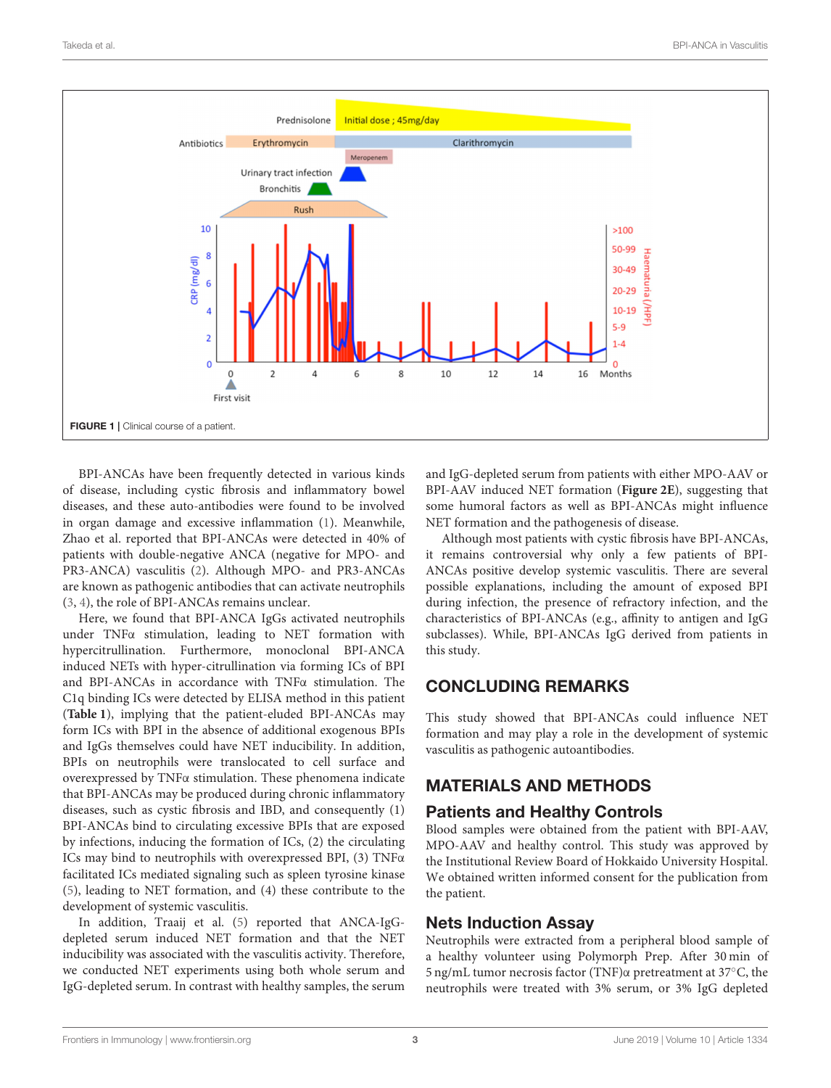

<span id="page-2-0"></span>BPI-ANCAs have been frequently detected in various kinds of disease, including cystic fibrosis and inflammatory bowel diseases, and these auto-antibodies were found to be involved in organ damage and excessive inflammation [\(1\)](#page-4-0). Meanwhile, Zhao et al. reported that BPI-ANCAs were detected in 40% of patients with double-negative ANCA (negative for MPO- and PR3-ANCA) vasculitis [\(2\)](#page-4-1). Although MPO- and PR3-ANCAs are known as pathogenic antibodies that can activate neutrophils [\(3,](#page-4-2) [4\)](#page-4-3), the role of BPI-ANCAs remains unclear.

Here, we found that BPI-ANCA IgGs activated neutrophils under TNFα stimulation, leading to NET formation with hypercitrullination. Furthermore, monoclonal BPI-ANCA induced NETs with hyper-citrullination via forming ICs of BPI and BPI-ANCAs in accordance with TNFα stimulation. The C1q binding ICs were detected by ELISA method in this patient (**[Table 1](#page-1-0)**), implying that the patient-eluded BPI-ANCAs may form ICs with BPI in the absence of additional exogenous BPIs and IgGs themselves could have NET inducibility. In addition, BPIs on neutrophils were translocated to cell surface and overexpressed by TNFα stimulation. These phenomena indicate that BPI-ANCAs may be produced during chronic inflammatory diseases, such as cystic fibrosis and IBD, and consequently (1) BPI-ANCAs bind to circulating excessive BPIs that are exposed by infections, inducing the formation of ICs, (2) the circulating ICs may bind to neutrophils with overexpressed BPI, (3) TNFα facilitated ICs mediated signaling such as spleen tyrosine kinase [\(5\)](#page-4-4), leading to NET formation, and (4) these contribute to the development of systemic vasculitis.

In addition, Traaij et al. [\(5\)](#page-4-4) reported that ANCA-IgGdepleted serum induced NET formation and that the NET inducibility was associated with the vasculitis activity. Therefore, we conducted NET experiments using both whole serum and IgG-depleted serum. In contrast with healthy samples, the serum and IgG-depleted serum from patients with either MPO-AAV or BPI-AAV induced NET formation (**[Figure 2E](#page-3-0)**), suggesting that some humoral factors as well as BPI-ANCAs might influence NET formation and the pathogenesis of disease.

Although most patients with cystic fibrosis have BPI-ANCAs, it remains controversial why only a few patients of BPI-ANCAs positive develop systemic vasculitis. There are several possible explanations, including the amount of exposed BPI during infection, the presence of refractory infection, and the characteristics of BPI-ANCAs (e.g., affinity to antigen and IgG subclasses). While, BPI-ANCAs IgG derived from patients in this study.

#### CONCLUDING REMARKS

This study showed that BPI-ANCAs could influence NET formation and may play a role in the development of systemic vasculitis as pathogenic autoantibodies.

## MATERIALS AND METHODS

#### Patients and Healthy Controls

Blood samples were obtained from the patient with BPI-AAV, MPO-AAV and healthy control. This study was approved by the Institutional Review Board of Hokkaido University Hospital. We obtained written informed consent for the publication from the patient.

#### Nets Induction Assay

Neutrophils were extracted from a peripheral blood sample of a healthy volunteer using Polymorph Prep. After 30 min of 5 ng/mL tumor necrosis factor (TNF)α pretreatment at 37◦C, the neutrophils were treated with 3% serum, or 3% IgG depleted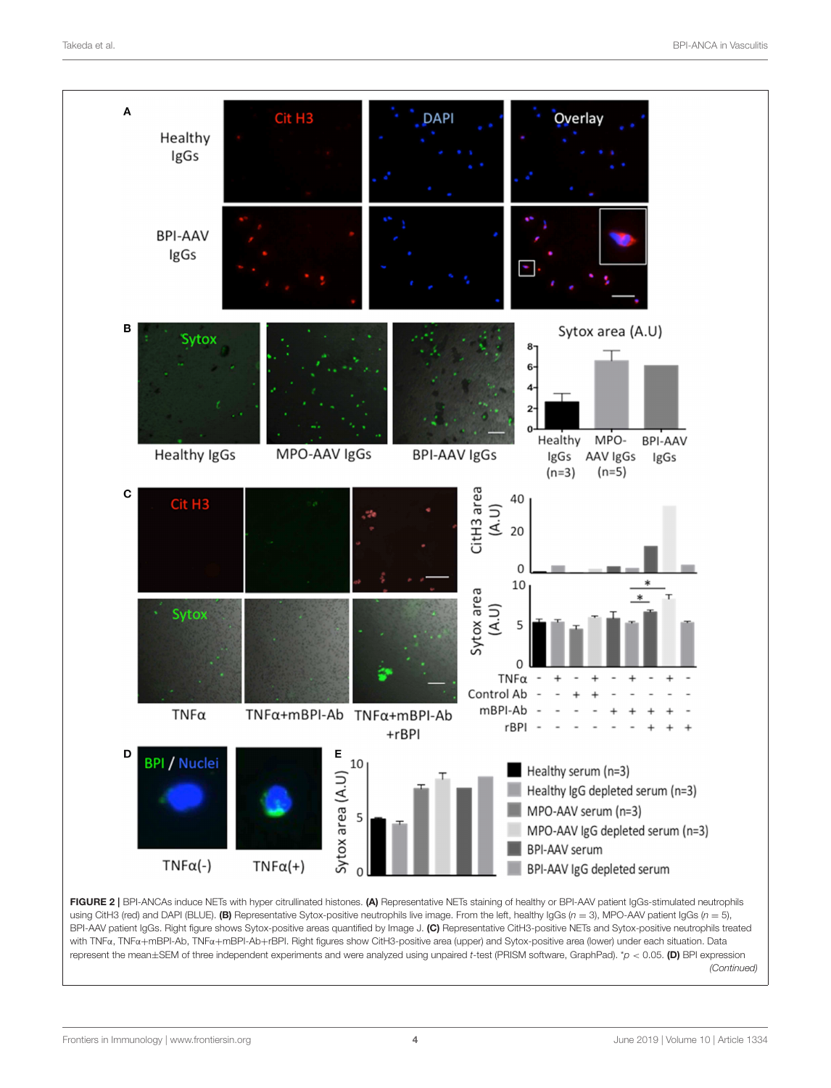

<span id="page-3-0"></span>